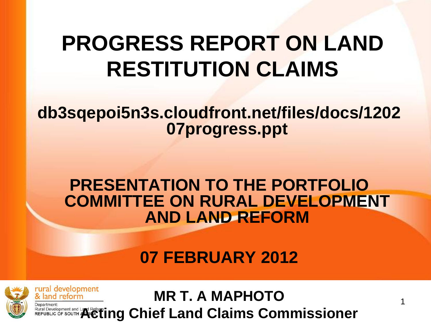### **PROGRESS REPORT ON LAND RESTITUTION CLAIMS**

#### **db3sqepoi5n3s.cloudfront.net/files/docs/1202 07progress.ppt**

#### **PRESENTATION TO THE PORTFOLIO COMMITTEE ON RURAL DEVELOPMENT AND LAND REFORM**

**07 FEBRUARY 2012**



rural development **MR T. A MAPHOTO** & land reform REPUBLIC OF SOUTH **ACTING CHIEf Land Claims Commissioner**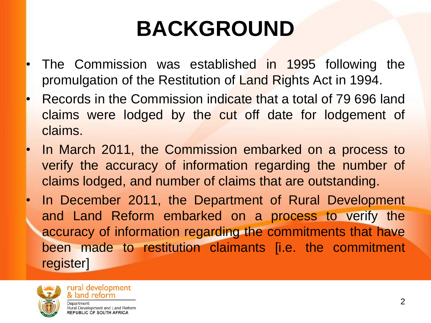## **BACKGROUND**

- The Commission was established in 1995 following the promulgation of the Restitution of Land Rights Act in 1994.
- Records in the Commission indicate that a total of 79 696 land claims were lodged by the cut off date for lodgement of claims.
- In March 2011, the Commission embarked on a process to verify the accuracy of information regarding the number of claims lodged, and number of claims that are outstanding.
- In December 2011, the Department of Rural Development and Land Reform embarked on a process to verify the accuracy of information regarding the commitments that have been made to restitution claimants [i.e. the commitment register]

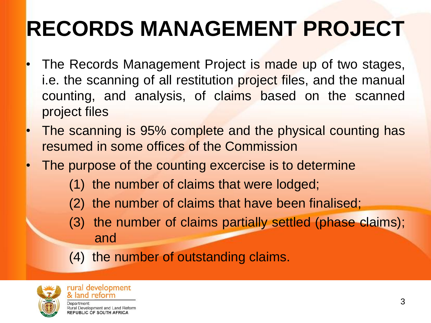## **RECORDS MANAGEMENT PROJECT**

- The Records Management Project is made up of two stages, i.e. the scanning of all restitution project files, and the manual counting, and analysis, of claims based on the scanned project files
- The scanning is 95% complete and the physical counting has resumed in some offices of the Commission
- The purpose of the counting excercise is to determine
	- (1) the number of claims that were lodged;
	- (2) the number of claims that have been finalised;
	- (3) the number of claims partially settled (phase claims); and
	- (4) the number of outstanding claims.

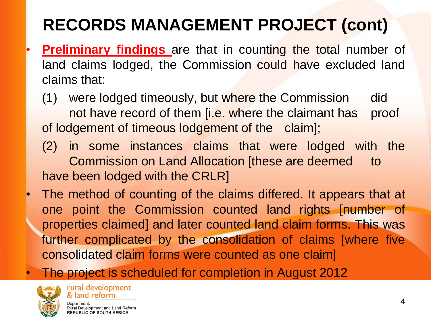### **RECORDS MANAGEMENT PROJECT (cont)**

- **Preliminary findings** are that in counting the total number of land claims lodged, the Commission could have excluded land claims that:
	- (1) were lodged timeously, but where the Commission did not have record of them [i.e. where the claimant has proof of lodgement of timeous lodgement of the claim];
	- (2) in some instances claims that were lodged with the Commission on Land Allocation [these are deemed to have been lodged with the CRLR]
- The method of counting of the claims differed. It appears that at one point the Commission counted land rights [number of properties claimed] and later counted land claim forms. This was further complicated by the consolidation of claims [where five consolidated claim forms were counted as one claim]
- The project is scheduled for completion in August 2012



**REPUBLIC OF SOUTH AFRICA**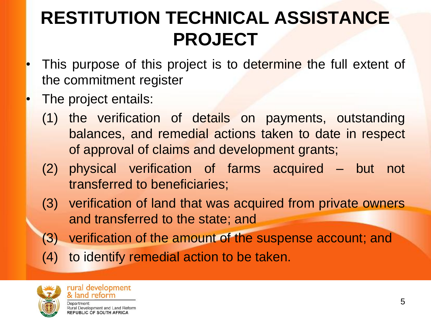### **RESTITUTION TECHNICAL ASSISTANCE PROJECT**

- This purpose of this project is to determine the full extent of the commitment register
- The project entails:
	- (1) the verification of details on payments, outstanding balances, and remedial actions taken to date in respect of approval of claims and development grants;
	- (2) physical verification of farms acquired but not transferred to beneficiaries;
	- (3) verification of land that was acquired from private owners and transferred to the state; and
	- (3) verification of the amount of the suspense account; and
	- (4) to identify remedial action to be taken.

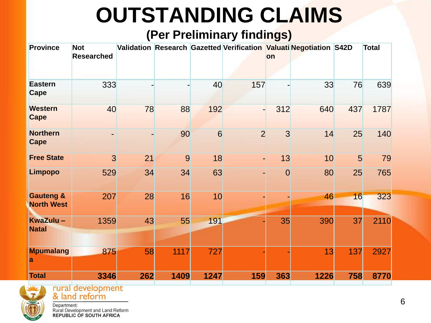## **OUTSTANDING CLAIMS**

#### **(Per Preliminary findings)**

| <b>Province</b>                           | <b>Not</b><br><b>Researched</b> |     |      |      |                | <b>lon</b>     | Validation Research Gazetted Verification Valuati Negotiation S42D |                | <b>Total</b> |
|-------------------------------------------|---------------------------------|-----|------|------|----------------|----------------|--------------------------------------------------------------------|----------------|--------------|
| <b>Eastern</b><br>Cape                    | 333                             |     |      | 40   | 157            |                | 33                                                                 | 76             | 639          |
| <b>Western</b><br><b>Cape</b>             | 40                              | 78  | 88   | 192  | ٠              | 312            | 640                                                                | 437            | 1787         |
| <b>Northern</b><br><b>Cape</b>            |                                 |     | 90   | 6    | $\overline{2}$ | 3              | 14                                                                 | 25             | 140          |
| <b>Free State</b>                         | 3                               | 21  | 9    | 18   | ٠              | 13             | 10                                                                 | 5 <sup>1</sup> | 79           |
| <b>Limpopo</b>                            | 529                             | 34  | 34   | 63   |                | $\overline{0}$ | 80                                                                 | 25             | 765          |
| <b>Gauteng &amp;</b><br><b>North West</b> | 207                             | 28  | 16   | 10   |                |                | 46                                                                 | 16             | 323          |
| KwaZulu-<br><b>Natal</b>                  | 1359                            | 43  | 55   | 191  |                | 35             | 390                                                                | 37             | 2110         |
| <b>Mpumalang</b><br>a                     | 875                             | 58  | 1117 | 727  |                |                | 13                                                                 | 137            | 2927         |
| <b>Total</b>                              | 3346                            | 262 | 1409 | 1247 | 159            | 363            | 1226                                                               | 758            | 8770         |



rural development<br>& land reform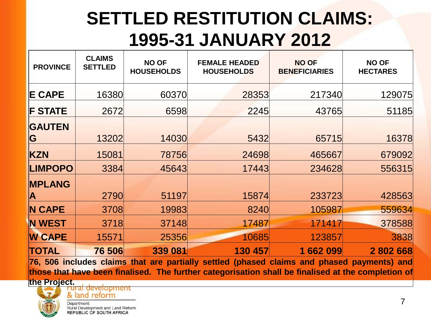### **SETTLED RESTITUTION CLAIMS: 1995-31 JANUARY 2012**

| <b>PROVINCE</b>         | <b>CLAIMS</b><br><b>SETTLED</b> | <b>NO OF</b><br><b>HOUSEHOLDS</b> | <b>FEMALE HEADED</b><br><b>HOUSEHOLDS</b> | <b>NO OF</b><br><b>BENEFICIARIES</b> | <b>NO OF</b><br><b>HECTARES</b> |
|-------------------------|---------------------------------|-----------------------------------|-------------------------------------------|--------------------------------------|---------------------------------|
| <b>E CAPE</b>           | 16380                           | 60370                             | 28353                                     | 217340                               | 129075                          |
| <b>F STATE</b>          | 2672                            | 6598                              | 2245                                      | 43765                                | 51185                           |
| <b>GAUTEN</b>           |                                 |                                   |                                           |                                      |                                 |
| G                       | 13202                           | 14030                             | 5432                                      | 65715                                | 16378                           |
| <b>KZN</b>              | 15081                           | 78756                             | 24698                                     | 465667                               | 679092                          |
| <b>LIMPOPO</b>          | 3384                            | 45643                             | 17443                                     | 234628                               | 556315                          |
| <b>MPLANG</b>           |                                 |                                   |                                           |                                      |                                 |
| $\overline{\mathsf{A}}$ | 2790                            | 51197                             | 15874                                     | 233723                               | 428563                          |
| <b>IN CAPE</b>          | 3708                            | 19983                             | 8240                                      | 105987                               | 559634                          |
| <b>N WEST</b>           | 3718                            | 37148                             | 17487                                     | 171417                               | 378588                          |
| <b>W CAPE</b>           | 15571                           | 25356                             | 10685                                     | 123857                               | 3838                            |
| <b>TOTAL</b>            | 76 506                          | 339 081                           | 130 457                                   | 1662099                              | 2802668                         |

**76, 506 includes claims that are partially settled (phased claims and phased payments) and those that have been finalised. The further categorisation shall be finalised at the completion of**



**the Project.**& land reform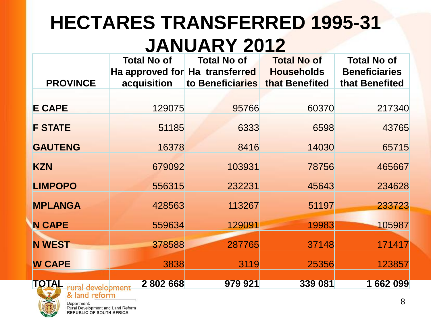### **HECTARES TRANSFERRED 1995-31 JANUARY 2012**

| <b>PROVINCE</b>                             | <b>Total No of</b><br>acquisition | <b>Total No of</b><br>Ha approved for Ha transferred<br>to Beneficiaries | <b>Total No of</b><br><b>Households</b><br>that Benefited | <b>Total No of</b><br><b>Beneficiaries</b><br>that Benefited |
|---------------------------------------------|-----------------------------------|--------------------------------------------------------------------------|-----------------------------------------------------------|--------------------------------------------------------------|
| <b>E CAPE</b>                               | 129075                            | 95766                                                                    | 60370                                                     | 217340                                                       |
| <b>F STATE</b>                              | 51185                             | 6333                                                                     | 6598                                                      | 43765                                                        |
| <b>GAUTENG</b>                              | 16378                             | 8416                                                                     | 14030                                                     | 65715                                                        |
| <b>KZN</b>                                  | 679092                            | 103931                                                                   | 78756                                                     | 465667                                                       |
| <b>LIMPOPO</b>                              | 556315                            | 232231                                                                   | 45643                                                     | 234628                                                       |
| <b>MPLANGA</b>                              | 428563                            | 113267                                                                   | 51197                                                     | 233723                                                       |
| <b>N CAPE</b>                               | 559634                            | 129091                                                                   | 19983                                                     | 105987                                                       |
| <b>N WEST</b>                               | 378588                            | 287765                                                                   | 37148                                                     | 171417                                                       |
| <b>W CAPE</b>                               | 3838                              | 3119                                                                     | 25356                                                     | 123857                                                       |
| TOTAL<br>rural development<br>& land reform | 2 802 668                         | 979 921                                                                  | 339 081                                                   | 1 662 099                                                    |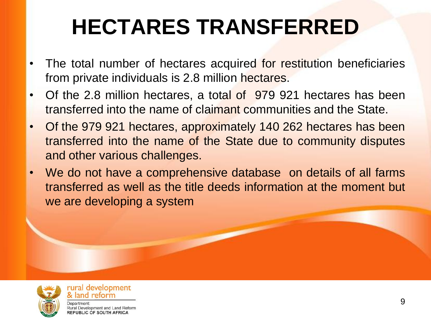## **HECTARES TRANSFERRED**

- The total number of hectares acquired for restitution beneficiaries from private individuals is 2.8 million hectares.
- Of the 2.8 million hectares, a total of 979 921 hectares has been transferred into the name of claimant communities and the State.
- Of the 979 921 hectares, approximately 140 262 hectares has been transferred into the name of the State due to community disputes and other various challenges.
- We do not have a comprehensive database on details of all farms transferred as well as the title deeds information at the moment but we are developing a system



rural development & land reform Department: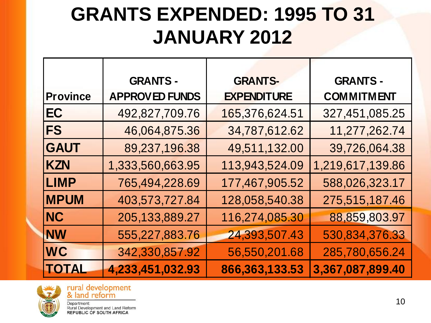### **GRANTS EXPENDED: 1995 TO 31 JANUARY 2012**

|                 | <b>GRANTS -</b>       | <b>GRANTS-</b>     | <b>GRANTS-</b>    |
|-----------------|-----------------------|--------------------|-------------------|
| <b>Province</b> | <b>APPROVED FUNDS</b> | <b>EXPENDITURE</b> | <b>COMMITMENT</b> |
| EC              | 492,827,709.76        | 165,376,624.51     | 327,451,085.25    |
| <b>FS</b>       | 46,064,875.36         | 34,787,612.62      | 11,277,262.74     |
| <b>GAUT</b>     | 89,237,196.38         | 49,511,132.00      | 39,726,064.38     |
| <b>KZN</b>      | 1,333,560,663.95      | 113,943,524.09     | 1,219,617,139.86  |
| <b>LIMP</b>     | 765,494,228.69        | 177,467,905.52     | 588,026,323.17    |
| <b>MPUM</b>     | 403,573,727.84        | 128,058,540.38     | 275,515,187.46    |
| <b>NC</b>       | 205,133,889.27        | 116,274,085.30     | 88,859,803.97     |
| <b>NW</b>       | 555,227,883.76        | 24,393,507.43      | 530,834,376.33    |
| <b>WC</b>       | 342,330,857.92        | 56,550,201.68      | 285,780,656.24    |
| <b>TOTAL</b>    | 4,233,451,032.93      | 866,363,133.53     | 3,367,087,899.40  |



rural development<br>& land reform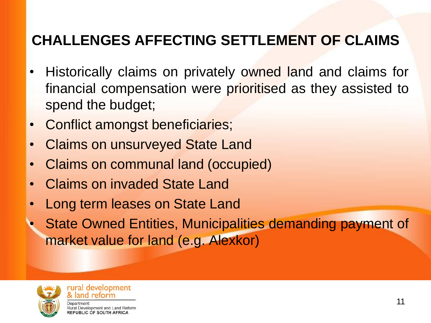### **CHALLENGES AFFECTING SETTLEMENT OF CLAIMS**

- Historically claims on privately owned land and claims for financial compensation were prioritised as they assisted to spend the budget;
- Conflict amongst beneficiaries;
- Claims on unsurveyed State Land
- Claims on communal land (occupied)
- Claims on invaded State Land
- Long term leases on State Land
- State Owned Entities, Municipalities demanding payment of market value for land (e.g. Alexkor)



rural development & land reform Department: Rural Development and Land Reform **REPUBLIC OF SOUTH AFRICA**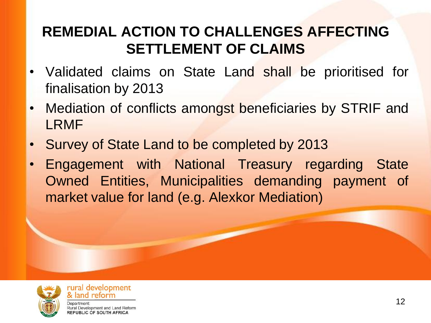#### **REMEDIAL ACTION TO CHALLENGES AFFECTING SETTLEMENT OF CLAIMS**

- Validated claims on State Land shall be prioritised for finalisation by 2013
- Mediation of conflicts amongst beneficiaries by STRIF and LRMF
- Survey of State Land to be completed by 2013
- Engagement with National Treasury regarding State Owned Entities, Municipalities demanding payment of market value for land (e.g. Alexkor Mediation)



rural development & land reform Department: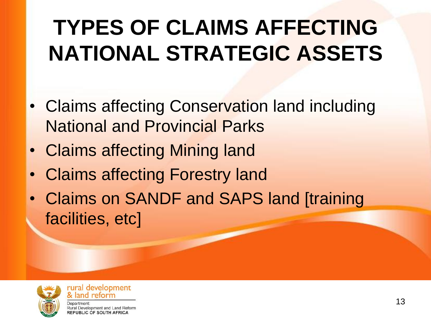## **TYPES OF CLAIMS AFFECTING NATIONAL STRATEGIC ASSETS**

- Claims affecting Conservation land including National and Provincial Parks
- Claims affecting Mining land
- Claims affecting Forestry land
- Claims on SANDF and SAPS land [training facilities, etc]



rural development land reform Denartment<sup>.</sup>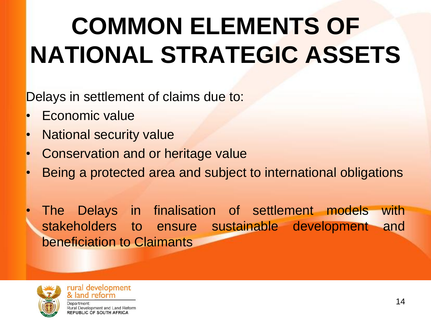# **COMMON ELEMENTS OF NATIONAL STRATEGIC ASSETS**

Delays in settlement of claims due to:

- Economic value
- **National security value**
- Conservation and or heritage value
- Being a protected area and subject to international obligations

The Delays in finalisation of settlement models with stakeholders to ensure sustainable development and beneficiation to Claimants



rural development & land reform Department: Rural Development and Land Reform

**REPUBLIC OF SOUTH AFRICA**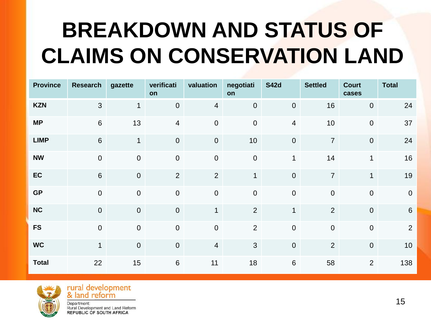## **BREAKDOWN AND STATUS OF CLAIMS ON CONSERVATION LAND**

| <b>Province</b> | <b>Research</b> | gazette          | verificati<br>on | valuation        | negotiati<br>on  | <b>S42d</b>      | <b>Settled</b> | <b>Court</b><br>cases | <b>Total</b>    |
|-----------------|-----------------|------------------|------------------|------------------|------------------|------------------|----------------|-----------------------|-----------------|
| <b>KZN</b>      | 3               | $\mathbf{1}$     | $\pmb{0}$        | $\overline{4}$   | $\pmb{0}$        | $\overline{0}$   | 16             | $\pmb{0}$             | 24              |
| <b>MP</b>       | $6\,$           | 13               | $\overline{4}$   | $\pmb{0}$        | $\mathbf 0$      | $\overline{4}$   | 10             | $\pmb{0}$             | 37              |
| <b>LIMP</b>     | $6\phantom{1}$  | 1                | $\pmb{0}$        | $\boldsymbol{0}$ | 10               | $\pmb{0}$        | $\overline{7}$ | $\boldsymbol{0}$      | 24              |
| <b>NW</b>       | $\mathbf 0$     | $\mathbf 0$      | $\boldsymbol{0}$ | $\boldsymbol{0}$ | $\boldsymbol{0}$ | $\mathbf 1$      | 14             | $\mathbf{1}$          | 16              |
| EC              | $6\phantom{1}$  | $\boldsymbol{0}$ | $\overline{2}$   | $\overline{2}$   | $\mathbf 1$      | $\mathbf 0$      | $\overline{7}$ | $\mathbf{1}$          | 19              |
| <b>GP</b>       | $\mathbf 0$     | $\pmb{0}$        | $\pmb{0}$        | $\pmb{0}$        | $\boldsymbol{0}$ | $\boldsymbol{0}$ | $\mathbf 0$    | $\pmb{0}$             | $\overline{0}$  |
| <b>NC</b>       | $\overline{0}$  | $\pmb{0}$        | $\pmb{0}$        | $\mathbf{1}$     | $\overline{2}$   | $\mathbf{1}$     | $\overline{2}$ | $\pmb{0}$             | $6\phantom{1}6$ |
| <b>FS</b>       | $\mathbf 0$     | $\boldsymbol{0}$ | $\mathbf 0$      | $\pmb{0}$        | $\overline{2}$   | $\boldsymbol{0}$ | $\mathbf 0$    | $\pmb{0}$             | $\overline{2}$  |
| <b>WC</b>       | $\mathbf{1}$    | $\boldsymbol{0}$ | $\mathbf 0$      | $\overline{4}$   | $\mathfrak{S}$   | $\mathbf 0$      | 2              | $\mathbf 0$           | 10              |
| <b>Total</b>    | 22              | 15               | $\,6\,$          | 11               | 18               | $\,6\,$          | 58             | $\overline{2}$        | 138             |



rural development<br>& land reform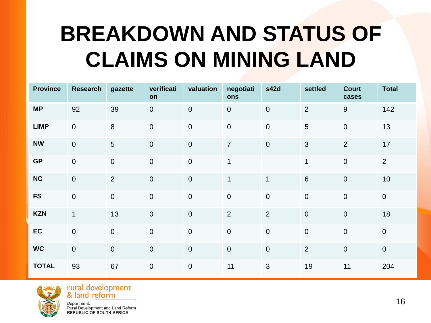## **BREAKDOWN AND STATUS OF CLAIMS ON MINING LAND**

| <b>Province</b> | <b>Research</b> | gazette          | verificati<br>on | valuation        | negotiati<br>ons | s42d             | settled        | <b>Court</b><br>cases | <b>Total</b>   |
|-----------------|-----------------|------------------|------------------|------------------|------------------|------------------|----------------|-----------------------|----------------|
| <b>MP</b>       | 92              | 39               | $\overline{0}$   | $\boldsymbol{0}$ | $\mathbf 0$      | $\pmb{0}$        | 2              | $\overline{9}$        | 142            |
| <b>LIMP</b>     | $\pmb{0}$       | $\,8\,$          | $\mathbf 0$      | $\boldsymbol{0}$ | $\pmb{0}$        | $\pmb{0}$        | $\overline{5}$ | $\mathbf 0$           | 13             |
| <b>NW</b>       | $\mathbf 0$     | $\overline{5}$   | $\overline{0}$   | $\boldsymbol{0}$ | $\overline{7}$   | $\boldsymbol{0}$ | $\mathfrak{S}$ | $\overline{2}$        | 17             |
| <b>GP</b>       | $\mathbf 0$     | $\pmb{0}$        | $\overline{0}$   | $\mathbf 0$      | $\mathbf{1}$     |                  | $\mathbf{1}$   | $\mathbf 0$           | $\overline{2}$ |
| <b>NC</b>       | $\overline{0}$  | $\overline{2}$   | $\boldsymbol{0}$ | $\mathbf 0$      | $\mathbf{1}$     | $\mathbf{1}$     | $6\phantom{1}$ | $\mathbf 0$           | 10             |
| <b>FS</b>       | $\overline{0}$  | $\boldsymbol{0}$ | $\mathbf 0$      | $\overline{0}$   | $\mathbf 0$      | $\boldsymbol{0}$ | $\mathbf 0$    | $\overline{0}$        | $\overline{0}$ |
| <b>KZN</b>      | $\mathbf{1}$    | 13               | $\boldsymbol{0}$ | $\mathbf 0$      | 2                | $\overline{2}$   | $\mathbf 0$    | $\mathbf 0$           | 18             |
| EC              | $\mathbf 0$     | $\mathbf 0$      | $\boldsymbol{0}$ | $\mathbf 0$      | $\mathbf 0$      | $\mathbf 0$      | $\mathbf 0$    | $\mathbf 0$           | $\mathbf 0$    |
| <b>WC</b>       | $\pmb{0}$       | $\boldsymbol{0}$ | $\boldsymbol{0}$ | $\mathbf 0$      | $\pmb{0}$        | $\boldsymbol{0}$ | 2              | $\mathbf 0$           | $\overline{0}$ |
| <b>TOTAL</b>    | 93              | 67               | $\mathbf 0$      | $\mathbf 0$      | 11               | $\mathbf{3}$     | 19             | 11                    | 204            |



rural development<br>& land reform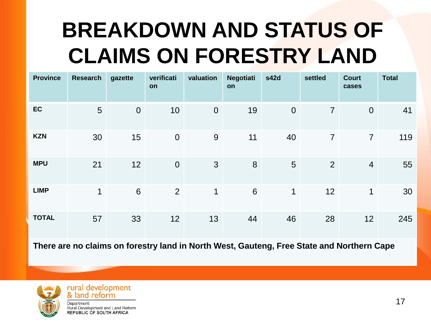## **BREAKDOWN AND STATUS OF CLAIMS ON FORESTRY LAND**

| <b>Province</b> | <b>Research</b> | gazette                                                                                   | verificati<br>on | valuation      | <b>Negotiati</b><br><b>on</b> | s42d        | settled        | <b>Court</b><br>cases | <b>Total</b> |
|-----------------|-----------------|-------------------------------------------------------------------------------------------|------------------|----------------|-------------------------------|-------------|----------------|-----------------------|--------------|
| <b>EC</b>       | $5\phantom{1}$  | $\mathbf 0$                                                                               | 10               | $\overline{0}$ | 19                            | $\theta$    | $\overline{7}$ | $\overline{0}$        | 41           |
| <b>KZN</b>      | 30              | 15                                                                                        | $\theta$         | 9              | 11                            | 40          | $\overline{7}$ | $\overline{7}$        | 119          |
| <b>MPU</b>      | 21              | 12                                                                                        | $\theta$         | 3              | 8                             | 5           | 2              | $\overline{4}$        | 55           |
| <b>LIMP</b>     | $\mathbf 1$     | $6\phantom{1}$                                                                            | $\overline{2}$   | 1              | 6                             | $\mathbf 1$ | 12             | 1                     | 30           |
| <b>TOTAL</b>    | 57              | 33                                                                                        | 12               | 13             | 44                            | 46          | 28             | 12                    | 245          |
|                 |                 | There are no claims on forestry land in North West, Gauteng, Free State and Northern Cape |                  |                |                               |             |                |                       |              |



rural development<br>& land reform Department: Rural Development and Land Reform

**REPUBLIC OF SOUTH AFRICA** 

17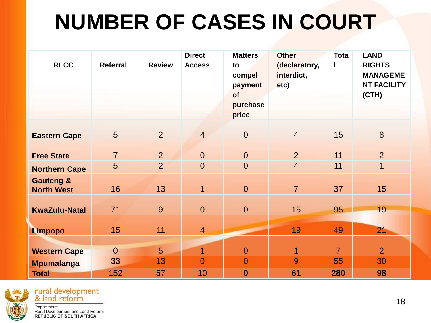## **NUMBER OF CASES IN COURT**

| <b>RLCC</b>                               | <b>Referral</b> | <b>Review</b>   | <b>Direct</b><br><b>Access</b> | <b>Matters</b><br>to<br>compel<br>payment<br>of<br>purchase<br>price | <b>Other</b><br>(declaratory,<br>interdict,<br>etc) | <b>Tota</b>    | <b>LAND</b><br><b>RIGHTS</b><br><b>MANAGEME</b><br><b>NT FACILITY</b><br>(CH) |
|-------------------------------------------|-----------------|-----------------|--------------------------------|----------------------------------------------------------------------|-----------------------------------------------------|----------------|-------------------------------------------------------------------------------|
| <b>Eastern Cape</b>                       | 5               | 2               | $\overline{4}$                 | $\theta$                                                             | $\overline{4}$                                      | 15             | 8                                                                             |
| <b>Free State</b>                         | $\overline{7}$  | 2               | $\overline{0}$                 | $\theta$                                                             | $\overline{2}$                                      | 11             | $\overline{2}$                                                                |
| <b>Northern Cape</b>                      | 5               | $\overline{2}$  | $\theta$                       | $\mathbf 0$                                                          | $\overline{4}$                                      | 11             | $\mathbf 1$                                                                   |
| <b>Gauteng &amp;</b><br><b>North West</b> | 16              | 13              | $\overline{1}$                 | $\mathbf{0}$                                                         | $\overline{7}$                                      | 37             | 15                                                                            |
| <b>KwaZulu-Natal</b>                      | 71              | 9               | $\overline{0}$                 | $\overline{0}$                                                       | 15                                                  | 95             | 19                                                                            |
| <b>Limpopo</b>                            | 15              | 11              | $\overline{4}$                 |                                                                      | 19                                                  | 49             | 21                                                                            |
|                                           |                 |                 |                                |                                                                      |                                                     |                |                                                                               |
| <b>Western Cape</b>                       | $\overline{0}$  | $5\overline{)}$ | $\overline{1}$                 | $\mathbf{0}$                                                         | $\overline{1}$                                      | $\overline{7}$ | $\overline{2}$                                                                |
| <b>Mpumalanga</b>                         | 33              | 13              | $\overline{0}$                 | $\overline{0}$                                                       | 9                                                   | 55             | 30                                                                            |
| <b>Total</b>                              | 152             | 57              | 10                             | $\boldsymbol{0}$                                                     | 61                                                  | 280            | 98                                                                            |